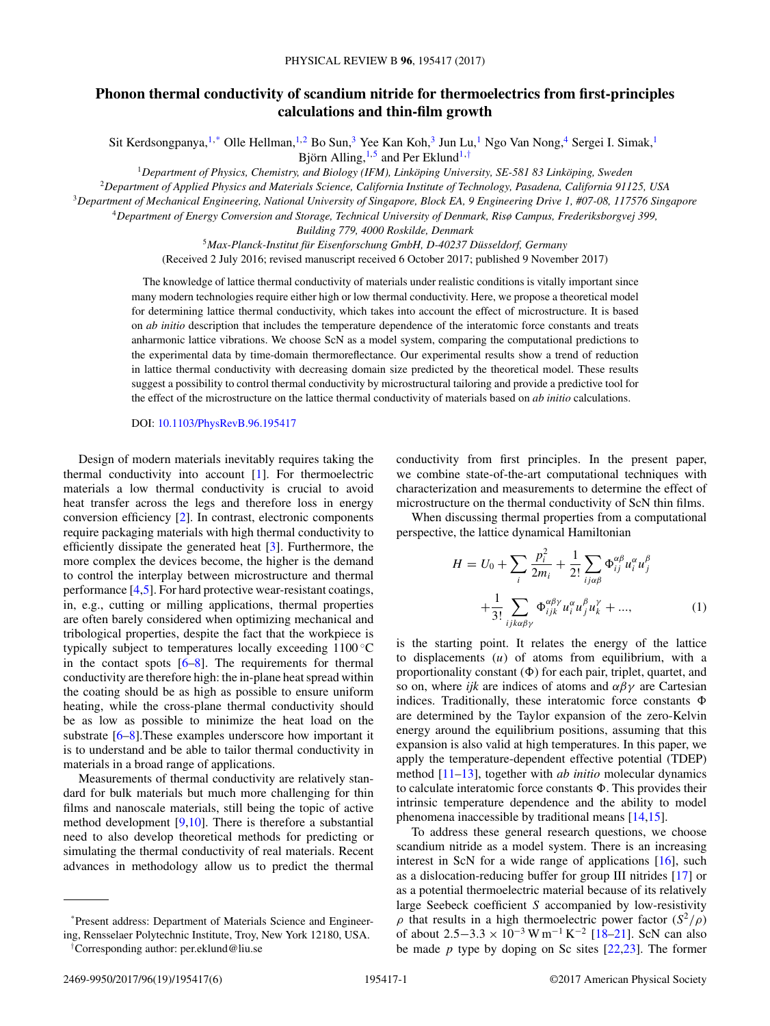## <span id="page-0-0"></span>**Phonon thermal conductivity of scandium nitride for thermoelectrics from first-principles calculations and thin-film growth**

Sit Kerdsongpanya,<sup>1,\*</sup> Olle Hellman,<sup>1,2</sup> Bo Sun,<sup>3</sup> Yee Kan Koh,<sup>3</sup> Jun Lu,<sup>1</sup> Ngo Van Nong,<sup>4</sup> Sergei I. Simak,<sup>1</sup> Björn Alling,  $1,5$  and Per Eklund $1, \dagger$ 

*Department of Physics, Chemistry, and Biology (IFM), Linköping University, SE-581 83 Linköping, Sweden Department of Applied Physics and Materials Science, California Institute of Technology, Pasadena, California 91125, USA Department of Mechanical Engineering, National University of Singapore, Block EA, 9 Engineering Drive 1, #07-08, 117576 Singapore Department of Energy Conversion and Storage, Technical University of Denmark, Risø Campus, Frederiksborgvej 399,*

*Building 779, 4000 Roskilde, Denmark*

<sup>5</sup>*Max-Planck-Institut für Eisenforschung GmbH, D-40237 Düsseldorf, Germany* (Received 2 July 2016; revised manuscript received 6 October 2017; published 9 November 2017)

The knowledge of lattice thermal conductivity of materials under realistic conditions is vitally important since many modern technologies require either high or low thermal conductivity. Here, we propose a theoretical model for determining lattice thermal conductivity, which takes into account the effect of microstructure. It is based on *ab initio* description that includes the temperature dependence of the interatomic force constants and treats anharmonic lattice vibrations. We choose ScN as a model system, comparing the computational predictions to the experimental data by time-domain thermoreflectance. Our experimental results show a trend of reduction in lattice thermal conductivity with decreasing domain size predicted by the theoretical model. These results suggest a possibility to control thermal conductivity by microstructural tailoring and provide a predictive tool for the effect of the microstructure on the lattice thermal conductivity of materials based on *ab initio* calculations.

DOI: [10.1103/PhysRevB.96.195417](https://doi.org/10.1103/PhysRevB.96.195417)

Design of modern materials inevitably requires taking the thermal conductivity into account [\[1\]](#page-4-0). For thermoelectric materials a low thermal conductivity is crucial to avoid heat transfer across the legs and therefore loss in energy conversion efficiency [\[2\]](#page-4-0). In contrast, electronic components require packaging materials with high thermal conductivity to efficiently dissipate the generated heat [\[3\]](#page-4-0). Furthermore, the more complex the devices become, the higher is the demand to control the interplay between microstructure and thermal performance [\[4,5\]](#page-4-0). For hard protective wear-resistant coatings, in, e.g., cutting or milling applications, thermal properties are often barely considered when optimizing mechanical and tribological properties, despite the fact that the workpiece is typically subject to temperatures locally exceeding 1100 ◦C in the contact spots [\[6–8\]](#page-4-0). The requirements for thermal conductivity are therefore high: the in-plane heat spread within the coating should be as high as possible to ensure uniform heating, while the cross-plane thermal conductivity should be as low as possible to minimize the heat load on the substrate [\[6–8\]](#page-4-0).These examples underscore how important it is to understand and be able to tailor thermal conductivity in materials in a broad range of applications.

Measurements of thermal conductivity are relatively standard for bulk materials but much more challenging for thin films and nanoscale materials, still being the topic of active method development  $[9,10]$ . There is therefore a substantial need to also develop theoretical methods for predicting or simulating the thermal conductivity of real materials. Recent advances in methodology allow us to predict the thermal

\*Present address: Department of Materials Science and Engineering, Rensselaer Polytechnic Institute, Troy, New York 12180, USA.

† Corresponding author: per.eklund@liu.se

conductivity from first principles. In the present paper, we combine state-of-the-art computational techniques with characterization and measurements to determine the effect of microstructure on the thermal conductivity of ScN thin films.

When discussing thermal properties from a computational perspective, the lattice dynamical Hamiltonian

$$
H = U_0 + \sum_{i} \frac{p_i^2}{2m_i} + \frac{1}{2!} \sum_{ij\alpha\beta} \Phi_{ij}^{\alpha\beta} u_i^{\alpha} u_j^{\beta} + \frac{1}{3!} \sum_{ijk\alpha\beta\gamma} \Phi_{ijk}^{\alpha\beta\gamma} u_i^{\alpha} u_j^{\beta} u_k^{\gamma} + ..., \qquad (1)
$$

is the starting point. It relates the energy of the lattice to displacements (*u*) of atoms from equilibrium, with a proportionality constant  $(\Phi)$  for each pair, triplet, quartet, and so on, where *ijk* are indices of atoms and *αβγ* are Cartesian indices. Traditionally, these interatomic force constants  $\Phi$ are determined by the Taylor expansion of the zero-Kelvin energy around the equilibrium positions, assuming that this expansion is also valid at high temperatures. In this paper, we apply the temperature-dependent effective potential (TDEP) method [\[11–13\]](#page-4-0), together with *ab initio* molecular dynamics to calculate interatomic force constants  $\Phi$ . This provides their intrinsic temperature dependence and the ability to model phenomena inaccessible by traditional means [\[14,15\]](#page-4-0).

To address these general research questions, we choose scandium nitride as a model system. There is an increasing interest in ScN for a wide range of applications  $[16]$ , such as a dislocation-reducing buffer for group III nitrides [\[17\]](#page-4-0) or as a potential thermoelectric material because of its relatively large Seebeck coefficient *S* accompanied by low-resistivity *ρ* that results in a high thermoelectric power factor  $(S^2/ρ)$ of about 2*.*5−3*.*<sup>3</sup> <sup>×</sup> <sup>10</sup>−<sup>3</sup> W m−<sup>1</sup> <sup>K</sup>−<sup>2</sup> [\[18–21\]](#page-4-0). ScN can also be made *p* type by doping on Sc sites [\[22,23\]](#page-4-0). The former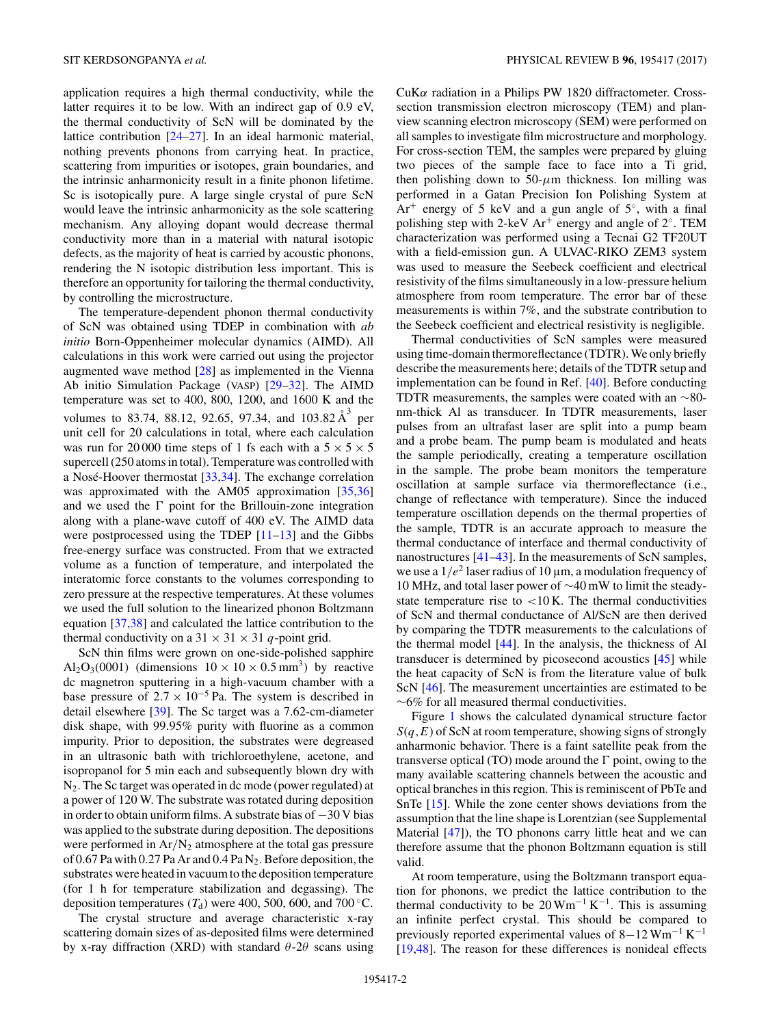application requires a high thermal conductivity, while the latter requires it to be low. With an indirect gap of 0.9 eV, the thermal conductivity of ScN will be dominated by the lattice contribution [\[24](#page-4-0)[–27\]](#page-5-0). In an ideal harmonic material, nothing prevents phonons from carrying heat. In practice, scattering from impurities or isotopes, grain boundaries, and the intrinsic anharmonicity result in a finite phonon lifetime. Sc is isotopically pure. A large single crystal of pure ScN would leave the intrinsic anharmonicity as the sole scattering mechanism. Any alloying dopant would decrease thermal conductivity more than in a material with natural isotopic defects, as the majority of heat is carried by acoustic phonons, rendering the N isotopic distribution less important. This is therefore an opportunity for tailoring the thermal conductivity, by controlling the microstructure.

The temperature-dependent phonon thermal conductivity of ScN was obtained using TDEP in combination with *ab initio* Born-Oppenheimer molecular dynamics (AIMD). All calculations in this work were carried out using the projector augmented wave method [\[28\]](#page-5-0) as implemented in the Vienna Ab initio Simulation Package (VASP) [\[29–32\]](#page-5-0). The AIMD temperature was set to 400, 800, 1200, and 1600 K and the volumes to 83.74, 88.12, 92.65, 97.34, and  $103.82 \text{ Å}^3$  per unit cell for 20 calculations in total, where each calculation was run for 20 000 time steps of 1 fs each with a  $5 \times 5 \times 5$ supercell (250 atoms in total). Temperature was controlled with a Nosé-Hoover thermostat [\[33,34\]](#page-5-0). The exchange correlation was approximated with the AM05 approximation [\[35,36\]](#page-5-0) and we used the  $\Gamma$  point for the Brillouin-zone integration along with a plane-wave cutoff of 400 eV. The AIMD data were postprocessed using the TDEP  $[11-13]$  and the Gibbs free-energy surface was constructed. From that we extracted volume as a function of temperature, and interpolated the interatomic force constants to the volumes corresponding to zero pressure at the respective temperatures. At these volumes we used the full solution to the linearized phonon Boltzmann equation [\[37,38\]](#page-5-0) and calculated the lattice contribution to the thermal conductivity on a  $31 \times 31 \times 31$  *q*-point grid.

ScN thin films were grown on one-side-polished sapphire Al<sub>2</sub>O<sub>3</sub>(0001) (dimensions  $10 \times 10 \times 0.5$  mm<sup>3</sup>) by reactive dc magnetron sputtering in a high-vacuum chamber with a base pressure of  $2.7 \times 10^{-5}$  Pa. The system is described in detail elsewhere [\[39\]](#page-5-0). The Sc target was a 7.62-cm-diameter disk shape, with 99*.*95% purity with fluorine as a common impurity. Prior to deposition, the substrates were degreased in an ultrasonic bath with trichloroethylene, acetone, and isopropanol for 5 min each and subsequently blown dry with  $N_2$ . The Sc target was operated in dc mode (power regulated) at a power of 120 W. The substrate was rotated during deposition in order to obtain uniform films. A substrate bias of −30 V bias was applied to the substrate during deposition. The depositions were performed in Ar/N<sub>2</sub> atmosphere at the total gas pressure of 0.67 Pa with 0.27 Pa Ar and 0.4 Pa  $N_2$ . Before deposition, the substrates were heated in vacuum to the deposition temperature (for 1 h for temperature stabilization and degassing). The deposition temperatures  $(T_d)$  were 400, 500, 600, and 700 °C.

The crystal structure and average characteristic x-ray scattering domain sizes of as-deposited films were determined by x-ray diffraction (XRD) with standard *θ*-2*θ* scans using CuK*α* radiation in a Philips PW 1820 diffractometer. Crosssection transmission electron microscopy (TEM) and planview scanning electron microscopy (SEM) were performed on all samples to investigate film microstructure and morphology. For cross-section TEM, the samples were prepared by gluing two pieces of the sample face to face into a Ti grid, then polishing down to  $50-\mu m$  thickness. Ion milling was performed in a Gatan Precision Ion Polishing System at  $Ar^+$  energy of 5 keV and a gun angle of 5 $\degree$ , with a final polishing step with 2-keV Ar<sup>+</sup> energy and angle of  $2^\circ$ . TEM characterization was performed using a Tecnai G2 TF20UT with a field-emission gun. A ULVAC-RIKO ZEM3 system was used to measure the Seebeck coefficient and electrical resistivity of the films simultaneously in a low-pressure helium atmosphere from room temperature. The error bar of these measurements is within 7%, and the substrate contribution to the Seebeck coefficient and electrical resistivity is negligible.

Thermal conductivities of ScN samples were measured using time-domain thermoreflectance (TDTR). We only briefly describe the measurements here; details of the TDTR setup and implementation can be found in Ref. [\[40\]](#page-5-0). Before conducting TDTR measurements, the samples were coated with an  $\sim$ 80nm-thick Al as transducer. In TDTR measurements, laser pulses from an ultrafast laser are split into a pump beam and a probe beam. The pump beam is modulated and heats the sample periodically, creating a temperature oscillation in the sample. The probe beam monitors the temperature oscillation at sample surface via thermoreflectance (i.e., change of reflectance with temperature). Since the induced temperature oscillation depends on the thermal properties of the sample, TDTR is an accurate approach to measure the thermal conductance of interface and thermal conductivity of nanostructures [\[41–43\]](#page-5-0). In the measurements of ScN samples, we use a  $1/e^2$  laser radius of 10  $\mu$ m, a modulation frequency of 10 MHz, and total laser power of ∼40 mW to limit the steadystate temperature rise to *<*10 K. The thermal conductivities of ScN and thermal conductance of Al/ScN are then derived by comparing the TDTR measurements to the calculations of the thermal model [\[44\]](#page-5-0). In the analysis, the thickness of Al transducer is determined by picosecond acoustics [\[45\]](#page-5-0) while the heat capacity of ScN is from the literature value of bulk ScN [\[46\]](#page-5-0). The measurement uncertainties are estimated to be  $~\sim$ 6% for all measured thermal conductivities.

Figure [1](#page-2-0) shows the calculated dynamical structure factor *S*(*q,E*) of ScN at room temperature, showing signs of strongly anharmonic behavior. There is a faint satellite peak from the transverse optical (TO) mode around the  $\Gamma$  point, owing to the many available scattering channels between the acoustic and optical branches in this region. This is reminiscent of PbTe and SnTe [\[15\]](#page-4-0). While the zone center shows deviations from the assumption that the line shape is Lorentzian (see Supplemental Material [\[47\]](#page-5-0)), the TO phonons carry little heat and we can therefore assume that the phonon Boltzmann equation is still valid.

At room temperature, using the Boltzmann transport equation for phonons, we predict the lattice contribution to the thermal conductivity to be  $20 \,\mathrm{Wm^{-1} K^{-1}}$ . This is assuming an infinite perfect crystal. This should be compared to previously reported experimental values of  $8-12$  Wm<sup>-1</sup> K<sup>-1</sup> [\[19](#page-4-0)[,48\]](#page-5-0). The reason for these differences is nonideal effects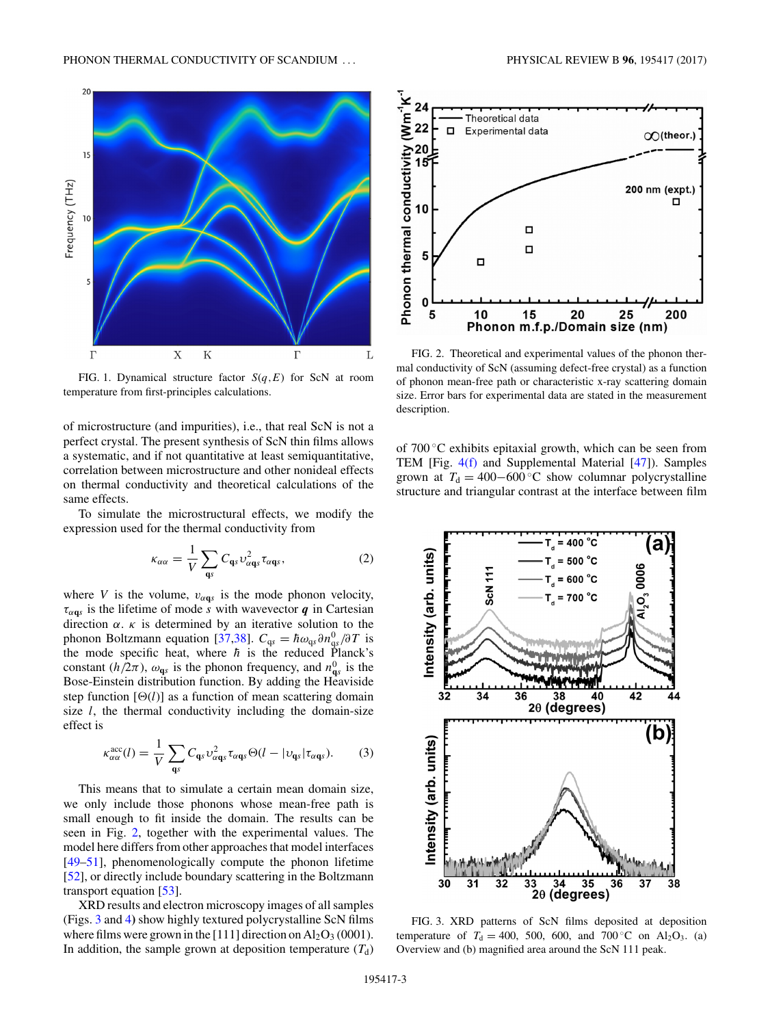<span id="page-2-0"></span>

FIG. 1. Dynamical structure factor *S*(*q,E*) for ScN at room temperature from first-principles calculations.

of microstructure (and impurities), i.e., that real ScN is not a perfect crystal. The present synthesis of ScN thin films allows a systematic, and if not quantitative at least semiquantitative, correlation between microstructure and other nonideal effects on thermal conductivity and theoretical calculations of the same effects.

To simulate the microstructural effects, we modify the expression used for the thermal conductivity from

$$
\kappa_{\alpha\alpha} = \frac{1}{V} \sum_{\mathbf{q}s} C_{\mathbf{q}s} \nu_{\alpha\mathbf{q}s}^2 \tau_{\alpha\mathbf{q}s}, \qquad (2)
$$

where *V* is the volume,  $v_{\alpha q s}$  is the mode phonon velocity,  $\tau_{\alpha q}$ *s* is the lifetime of mode *s* with wavevector *q* in Cartesian direction *α*. *κ* is determined by an iterative solution to the phonon Boltzmann equation [\[37,38\]](#page-5-0).  $C_{qs} = \hbar \omega_{qs} \partial n_{qs}^0 / \partial T$  is the mode specific heat, where  $\hbar$  is the reduced Planck's constant ( $h/2\pi$ ),  $\omega_{\mathbf{q}s}$  is the phonon frequency, and  $n_{\mathbf{q}s}^0$  is the Bose-Einstein distribution function. By adding the Heaviside step function  $[\Theta(l)]$  as a function of mean scattering domain size *l*, the thermal conductivity including the domain-size effect is

$$
\kappa_{\alpha\alpha}^{\text{acc}}(l) = \frac{1}{V} \sum_{\mathbf{q}s} C_{\mathbf{q}s} \nu_{\alpha\mathbf{q}s}^2 \tau_{\alpha\mathbf{q}s} \Theta(l - |\nu_{\mathbf{q}s}| \tau_{\alpha\mathbf{q}s}). \tag{3}
$$

This means that to simulate a certain mean domain size, we only include those phonons whose mean-free path is small enough to fit inside the domain. The results can be seen in Fig. 2, together with the experimental values. The model here differs from other approaches that model interfaces [\[49–51\]](#page-5-0), phenomenologically compute the phonon lifetime [\[52\]](#page-5-0), or directly include boundary scattering in the Boltzmann transport equation [\[53\]](#page-5-0).

XRD results and electron microscopy images of all samples (Figs. 3 and [4](#page-3-0)**)** show highly textured polycrystalline ScN films where films were grown in the [111] direction on  $Al_2O_3$  (0001). In addition, the sample grown at deposition temperature  $(T_d)$ 



FIG. 2. Theoretical and experimental values of the phonon thermal conductivity of ScN (assuming defect-free crystal) as a function of phonon mean-free path or characteristic x-ray scattering domain size. Error bars for experimental data are stated in the measurement description.

of 700 ◦C exhibits epitaxial growth, which can be seen from TEM [Fig. [4\(f\)](#page-3-0) and Supplemental Material [\[47\]](#page-5-0)). Samples grown at  $T_d = 400 - 600$  °C show columnar polycrystalline structure and triangular contrast at the interface between film



FIG. 3. XRD patterns of ScN films deposited at deposition temperature of  $T_d = 400$ , 500, 600, and 700 °C on Al<sub>2</sub>O<sub>3</sub>. (a) Overview and (b) magnified area around the ScN 111 peak.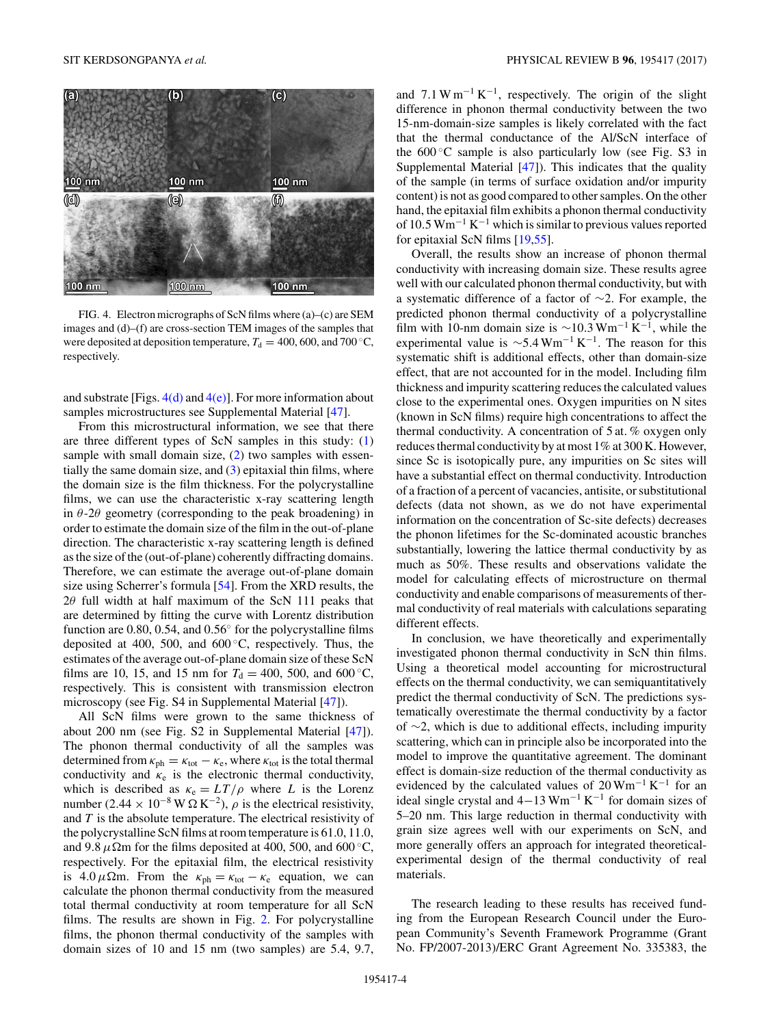<span id="page-3-0"></span>

FIG. 4. Electron micrographs of ScN films where (a)–(c) are SEM images and (d)–(f) are cross-section TEM images of the samples that were deposited at deposition temperature,  $T_d = 400, 600,$  and  $700 °C$ , respectively.

and substrate [Figs.  $4(d)$  and  $4(e)$ ]. For more information about samples microstructures see Supplemental Material [\[47\]](#page-5-0).

From this microstructural information, we see that there are three different types of ScN samples in this study: [\(1\)](#page-0-0) sample with small domain size, [\(2\)](#page-2-0) two samples with essentially the same domain size, and  $(3)$  epitaxial thin films, where the domain size is the film thickness. For the polycrystalline films, we can use the characteristic x-ray scattering length in  $\theta$ -2 $\theta$  geometry (corresponding to the peak broadening) in order to estimate the domain size of the film in the out-of-plane direction. The characteristic x-ray scattering length is defined as the size of the (out-of-plane) coherently diffracting domains. Therefore, we can estimate the average out-of-plane domain size using Scherrer's formula [\[54\]](#page-5-0). From the XRD results, the 2*θ* full width at half maximum of the ScN 111 peaks that are determined by fitting the curve with Lorentz distribution function are 0.80, 0.54, and 0*.*56◦ for the polycrystalline films deposited at 400, 500, and  $600\degree C$ , respectively. Thus, the estimates of the average out-of-plane domain size of these ScN films are 10, 15, and 15 nm for  $T_d = 400$ , 500, and 600 °C, respectively. This is consistent with transmission electron microscopy (see Fig. S4 in Supplemental Material [\[47\]](#page-5-0)).

All ScN films were grown to the same thickness of about 200 nm (see Fig. S2 in Supplemental Material [\[47\]](#page-5-0)). The phonon thermal conductivity of all the samples was determined from  $\kappa_{ph} = \kappa_{tot} - \kappa_e$ , where  $\kappa_{tot}$  is the total thermal conductivity and  $\kappa_e$  is the electronic thermal conductivity, which is described as  $\kappa_e = LT/\rho$  where *L* is the Lorenz number (2.44 × 10<sup>-8</sup> W  $\Omega$  K<sup>-2</sup>),  $\rho$  is the electrical resistivity, and *T* is the absolute temperature. The electrical resistivity of the polycrystalline ScN films at room temperature is 61.0, 11.0, and 9.8  $\mu \Omega$ m for the films deposited at 400, 500, and 600 °C, respectively. For the epitaxial film, the electrical resistivity is  $4.0 \mu \Omega$ m. From the  $\kappa_{ph} = \kappa_{tot} - \kappa_e$  equation, we can calculate the phonon thermal conductivity from the measured total thermal conductivity at room temperature for all ScN films. The results are shown in Fig. [2.](#page-2-0) For polycrystalline films, the phonon thermal conductivity of the samples with domain sizes of 10 and 15 nm (two samples) are 5.4, 9.7, and 7*.*1Wm−<sup>1</sup> K−1, respectively. The origin of the slight difference in phonon thermal conductivity between the two 15-nm-domain-size samples is likely correlated with the fact that the thermal conductance of the Al/ScN interface of the  $600^{\circ}$ C sample is also particularly low (see Fig. S3 in Supplemental Material [\[47\]](#page-5-0)). This indicates that the quality of the sample (in terms of surface oxidation and/or impurity content) is not as good compared to other samples. On the other hand, the epitaxial film exhibits a phonon thermal conductivity of 10*.*5 Wm−<sup>1</sup> K−<sup>1</sup> which is similar to previous values reported for epitaxial ScN films [\[19](#page-4-0)[,55\]](#page-5-0).

Overall, the results show an increase of phonon thermal conductivity with increasing domain size. These results agree well with our calculated phonon thermal conductivity, but with a systematic difference of a factor of ∼2. For example, the predicted phonon thermal conductivity of a polycrystalline film with 10-nm domain size is <sup>∼</sup>10*.*3 Wm−<sup>1</sup> <sup>K</sup>−1, while the experimental value is  $\sim$ 5.4 Wm<sup>-1</sup> K<sup>-1</sup>. The reason for this systematic shift is additional effects, other than domain-size effect, that are not accounted for in the model. Including film thickness and impurity scattering reduces the calculated values close to the experimental ones. Oxygen impurities on N sites (known in ScN films) require high concentrations to affect the thermal conductivity. A concentration of 5 at*.* % oxygen only reduces thermal conductivity by at most 1% at 300 K. However, since Sc is isotopically pure, any impurities on Sc sites will have a substantial effect on thermal conductivity. Introduction of a fraction of a percent of vacancies, antisite, or substitutional defects (data not shown, as we do not have experimental information on the concentration of Sc-site defects) decreases the phonon lifetimes for the Sc-dominated acoustic branches substantially, lowering the lattice thermal conductivity by as much as 50%. These results and observations validate the model for calculating effects of microstructure on thermal conductivity and enable comparisons of measurements of thermal conductivity of real materials with calculations separating different effects.

In conclusion, we have theoretically and experimentally investigated phonon thermal conductivity in ScN thin films. Using a theoretical model accounting for microstructural effects on the thermal conductivity, we can semiquantitatively predict the thermal conductivity of ScN. The predictions systematically overestimate the thermal conductivity by a factor of ∼2, which is due to additional effects, including impurity scattering, which can in principle also be incorporated into the model to improve the quantitative agreement. The dominant effect is domain-size reduction of the thermal conductivity as evidenced by the calculated values of  $20 \,\mathrm{Wm}^{-1} \,\mathrm{K}^{-1}$  for an ideal single crystal and  $4-13$  Wm<sup>-1</sup> K<sup>-1</sup> for domain sizes of 5–20 nm. This large reduction in thermal conductivity with grain size agrees well with our experiments on ScN, and more generally offers an approach for integrated theoreticalexperimental design of the thermal conductivity of real materials.

The research leading to these results has received funding from the European Research Council under the European Community's Seventh Framework Programme (Grant No. FP/2007-2013)/ERC Grant Agreement No. 335383, the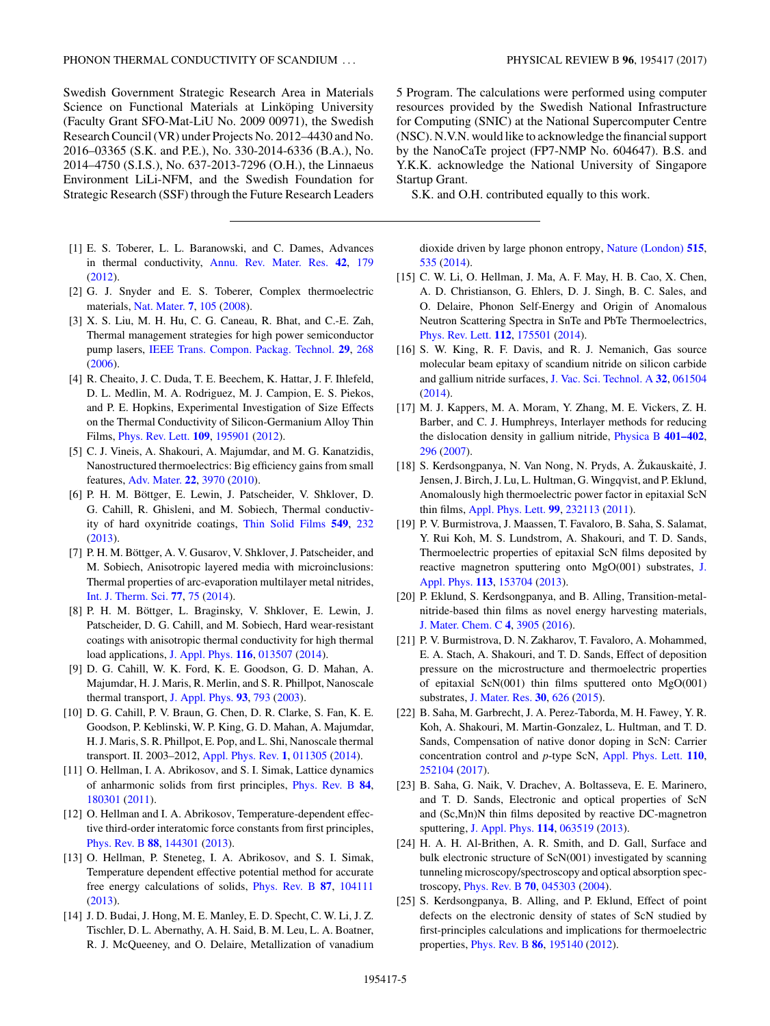<span id="page-4-0"></span>Swedish Government Strategic Research Area in Materials Science on Functional Materials at Linköping University (Faculty Grant SFO-Mat-LiU No. 2009 00971), the Swedish Research Council (VR) under Projects No. 2012–4430 and No. 2016–03365 (S.K. and P.E.), No. 330-2014-6336 (B.A.), No. 2014–4750 (S.I.S.), No. 637-2013-7296 (O.H.), the Linnaeus Environment LiLi-NFM, and the Swedish Foundation for Strategic Research (SSF) through the Future Research Leaders

- [1] E. S. Toberer, L. L. Baranowski, and C. Dames, Advances in thermal conductivity, [Annu. Rev. Mater. Res.](https://doi.org/10.1146/annurev-matsci-070511-155040) **[42](https://doi.org/10.1146/annurev-matsci-070511-155040)**, [179](https://doi.org/10.1146/annurev-matsci-070511-155040) [\(2012\)](https://doi.org/10.1146/annurev-matsci-070511-155040).
- [2] G. J. Snyder and E. S. Toberer, Complex thermoelectric materials, [Nat. Mater.](https://doi.org/10.1038/nmat2090) **[7](https://doi.org/10.1038/nmat2090)**, [105](https://doi.org/10.1038/nmat2090) [\(2008\)](https://doi.org/10.1038/nmat2090).
- [3] X. S. Liu, M. H. Hu, C. G. Caneau, R. Bhat, and C.-E. Zah, Thermal management strategies for high power semiconductor pump lasers, [IEEE Trans. Compon. Packag. Technol.](https://doi.org/10.1109/TCAPT.2006.875878) **[29](https://doi.org/10.1109/TCAPT.2006.875878)**, [268](https://doi.org/10.1109/TCAPT.2006.875878) [\(2006\)](https://doi.org/10.1109/TCAPT.2006.875878).
- [4] R. Cheaito, J. C. Duda, T. E. Beechem, K. Hattar, J. F. Ihlefeld, D. L. Medlin, M. A. Rodriguez, M. J. Campion, E. S. Piekos, and P. E. Hopkins, Experimental Investigation of Size Effects on the Thermal Conductivity of Silicon-Germanium Alloy Thin Films, [Phys. Rev. Lett.](https://doi.org/10.1103/PhysRevLett.109.195901) **[109](https://doi.org/10.1103/PhysRevLett.109.195901)**, [195901](https://doi.org/10.1103/PhysRevLett.109.195901) [\(2012\)](https://doi.org/10.1103/PhysRevLett.109.195901).
- [5] C. J. Vineis, A. Shakouri, A. Majumdar, and M. G. Kanatzidis, Nanostructured thermoelectrics: Big efficiency gains from small features, [Adv. Mater.](https://doi.org/10.1002/adma.201000839) **[22](https://doi.org/10.1002/adma.201000839)**, [3970](https://doi.org/10.1002/adma.201000839) [\(2010\)](https://doi.org/10.1002/adma.201000839).
- [6] P. H. M. Böttger, E. Lewin, J. Patscheider, V. Shklover, D. G. Cahill, R. Ghisleni, and M. Sobiech, Thermal conductivity of hard oxynitride coatings, [Thin Solid Films](https://doi.org/10.1016/j.tsf.2013.09.094) **[549](https://doi.org/10.1016/j.tsf.2013.09.094)**, [232](https://doi.org/10.1016/j.tsf.2013.09.094) [\(2013\)](https://doi.org/10.1016/j.tsf.2013.09.094).
- [7] P. H. M. Böttger, A. V. Gusarov, V. Shklover, J. Patscheider, and M. Sobiech, Anisotropic layered media with microinclusions: Thermal properties of arc-evaporation multilayer metal nitrides, [Int. J. Therm. Sci.](https://doi.org/10.1016/j.ijthermalsci.2013.10.011) **[77](https://doi.org/10.1016/j.ijthermalsci.2013.10.011)**, [75](https://doi.org/10.1016/j.ijthermalsci.2013.10.011) [\(2014\)](https://doi.org/10.1016/j.ijthermalsci.2013.10.011).
- [8] P. H. M. Böttger, L. Braginsky, V. Shklover, E. Lewin, J. Patscheider, D. G. Cahill, and M. Sobiech, Hard wear-resistant coatings with anisotropic thermal conductivity for high thermal load applications, [J. Appl. Phys.](https://doi.org/10.1063/1.4886182) **[116](https://doi.org/10.1063/1.4886182)**, [013507](https://doi.org/10.1063/1.4886182) [\(2014\)](https://doi.org/10.1063/1.4886182).
- [9] D. G. Cahill, W. K. Ford, K. E. Goodson, G. D. Mahan, A. Majumdar, H. J. Maris, R. Merlin, and S. R. Phillpot, Nanoscale thermal transport, [J. Appl. Phys.](https://doi.org/10.1063/1.1524305) **[93](https://doi.org/10.1063/1.1524305)**, [793](https://doi.org/10.1063/1.1524305) [\(2003\)](https://doi.org/10.1063/1.1524305).
- [10] D. G. Cahill, P. V. Braun, G. Chen, D. R. Clarke, S. Fan, K. E. Goodson, P. Keblinski, W. P. King, G. D. Mahan, A. Majumdar, H. J. Maris, S. R. Phillpot, E. Pop, and L. Shi, Nanoscale thermal transport. II. 2003–2012, [Appl. Phys. Rev.](https://doi.org/10.1063/1.4832615) **[1](https://doi.org/10.1063/1.4832615)**, [011305](https://doi.org/10.1063/1.4832615) [\(2014\)](https://doi.org/10.1063/1.4832615).
- [11] O. Hellman, I. A. Abrikosov, and S. I. Simak, Lattice dynamics of anharmonic solids from first principles, [Phys. Rev. B](https://doi.org/10.1103/PhysRevB.84.180301) **[84](https://doi.org/10.1103/PhysRevB.84.180301)**, [180301](https://doi.org/10.1103/PhysRevB.84.180301) [\(2011\)](https://doi.org/10.1103/PhysRevB.84.180301).
- [12] O. Hellman and I. A. Abrikosov, Temperature-dependent effective third-order interatomic force constants from first principles, [Phys. Rev. B](https://doi.org/10.1103/PhysRevB.88.144301) **[88](https://doi.org/10.1103/PhysRevB.88.144301)**, [144301](https://doi.org/10.1103/PhysRevB.88.144301) [\(2013\)](https://doi.org/10.1103/PhysRevB.88.144301).
- [13] O. Hellman, P. Steneteg, I. A. Abrikosov, and S. I. Simak, Temperature dependent effective potential method for accurate free energy calculations of solids, [Phys. Rev. B](https://doi.org/10.1103/PhysRevB.87.104111) **[87](https://doi.org/10.1103/PhysRevB.87.104111)**, [104111](https://doi.org/10.1103/PhysRevB.87.104111) [\(2013\)](https://doi.org/10.1103/PhysRevB.87.104111).
- [14] J. D. Budai, J. Hong, M. E. Manley, E. D. Specht, C. W. Li, J. Z. Tischler, D. L. Abernathy, A. H. Said, B. M. Leu, L. A. Boatner, R. J. McQueeney, and O. Delaire, Metallization of vanadium

5 Program. The calculations were performed using computer resources provided by the Swedish National Infrastructure for Computing (SNIC) at the National Supercomputer Centre (NSC). N.V.N. would like to acknowledge the financial support by the NanoCaTe project (FP7-NMP No. 604647). B.S. and Y.K.K. acknowledge the National University of Singapore Startup Grant.

S.K. and O.H. contributed equally to this work.

dioxide driven by large phonon entropy, [Nature \(London\)](https://doi.org/10.1038/nature13865) **[515](https://doi.org/10.1038/nature13865)**, [535](https://doi.org/10.1038/nature13865) [\(2014\)](https://doi.org/10.1038/nature13865).

- [15] C. W. Li, O. Hellman, J. Ma, A. F. May, H. B. Cao, X. Chen, A. D. Christianson, G. Ehlers, D. J. Singh, B. C. Sales, and O. Delaire, Phonon Self-Energy and Origin of Anomalous Neutron Scattering Spectra in SnTe and PbTe Thermoelectrics, [Phys. Rev. Lett.](https://doi.org/10.1103/PhysRevLett.112.175501) **[112](https://doi.org/10.1103/PhysRevLett.112.175501)**, [175501](https://doi.org/10.1103/PhysRevLett.112.175501) [\(2014\)](https://doi.org/10.1103/PhysRevLett.112.175501).
- [16] S. W. King, R. F. Davis, and R. J. Nemanich, Gas source molecular beam epitaxy of scandium nitride on silicon carbide and gallium nitride surfaces, [J. Vac. Sci. Technol. A](https://doi.org/10.1116/1.4894816) **[32](https://doi.org/10.1116/1.4894816)**, [061504](https://doi.org/10.1116/1.4894816) [\(2014\)](https://doi.org/10.1116/1.4894816).
- [17] M. J. Kappers, M. A. Moram, Y. Zhang, M. E. Vickers, Z. H. Barber, and C. J. Humphreys, Interlayer methods for reducing the dislocation density in gallium nitride, [Physica B](https://doi.org/10.1016/j.physb.2007.08.170) **[401–402](https://doi.org/10.1016/j.physb.2007.08.170)**, [296](https://doi.org/10.1016/j.physb.2007.08.170) [\(2007\)](https://doi.org/10.1016/j.physb.2007.08.170).
- [18] S. Kerdsongpanya, N. Van Nong, N. Pryds, A. Žukauskaitė, J. Jensen, J. Birch, J. Lu, L. Hultman, G. Wingqvist, and P. Eklund, Anomalously high thermoelectric power factor in epitaxial ScN thin films, [Appl. Phys. Lett.](https://doi.org/10.1063/1.3665945) **[99](https://doi.org/10.1063/1.3665945)**, [232113](https://doi.org/10.1063/1.3665945) [\(2011\)](https://doi.org/10.1063/1.3665945).
- [19] P. V. Burmistrova, J. Maassen, T. Favaloro, B. Saha, S. Salamat, Y. Rui Koh, M. S. Lundstrom, A. Shakouri, and T. D. Sands, Thermoelectric properties of epitaxial ScN films deposited by [reactive magnetron sputtering onto MgO\(001\) substrates,](https://doi.org/10.1063/1.4801886) J. Appl. Phys. **[113](https://doi.org/10.1063/1.4801886)**, [153704](https://doi.org/10.1063/1.4801886) [\(2013\)](https://doi.org/10.1063/1.4801886).
- [20] P. Eklund, S. Kerdsongpanya, and B. Alling, Transition-metalnitride-based thin films as novel energy harvesting materials, [J. Mater. Chem. C](https://doi.org/10.1039/C5TC03891J) **[4](https://doi.org/10.1039/C5TC03891J)**, [3905](https://doi.org/10.1039/C5TC03891J) [\(2016\)](https://doi.org/10.1039/C5TC03891J).
- [21] P. V. Burmistrova, D. N. Zakharov, T. Favaloro, A. Mohammed, E. A. Stach, A. Shakouri, and T. D. Sands, Effect of deposition pressure on the microstructure and thermoelectric properties of epitaxial ScN(001) thin films sputtered onto MgO(001) substrates, [J. Mater. Res.](https://doi.org/10.1557/jmr.2015.30) **[30](https://doi.org/10.1557/jmr.2015.30)**, [626](https://doi.org/10.1557/jmr.2015.30) [\(2015\)](https://doi.org/10.1557/jmr.2015.30).
- [22] B. Saha, M. Garbrecht, J. A. Perez-Taborda, M. H. Fawey, Y. R. Koh, A. Shakouri, M. Martin-Gonzalez, L. Hultman, and T. D. Sands, Compensation of native donor doping in ScN: Carrier concentration control and *p*-type ScN, [Appl. Phys. Lett.](https://doi.org/10.1063/1.4989530) **[110](https://doi.org/10.1063/1.4989530)**, [252104](https://doi.org/10.1063/1.4989530) [\(2017\)](https://doi.org/10.1063/1.4989530).
- [23] B. Saha, G. Naik, V. Drachev, A. Boltasseva, E. E. Marinero, and T. D. Sands, Electronic and optical properties of ScN and (Sc,Mn)N thin films deposited by reactive DC-magnetron sputtering, [J. Appl. Phys.](https://doi.org/10.1063/1.4817715) **[114](https://doi.org/10.1063/1.4817715)**, [063519](https://doi.org/10.1063/1.4817715) [\(2013\)](https://doi.org/10.1063/1.4817715).
- [24] H. A. H. Al-Brithen, A. R. Smith, and D. Gall, Surface and bulk electronic structure of ScN(001) investigated by scanning tunneling microscopy/spectroscopy and optical absorption spectroscopy, [Phys. Rev. B](https://doi.org/10.1103/PhysRevB.70.045303) **[70](https://doi.org/10.1103/PhysRevB.70.045303)**, [045303](https://doi.org/10.1103/PhysRevB.70.045303) [\(2004\)](https://doi.org/10.1103/PhysRevB.70.045303).
- [25] S. Kerdsongpanya, B. Alling, and P. Eklund, Effect of point defects on the electronic density of states of ScN studied by first-principles calculations and implications for thermoelectric properties, [Phys. Rev. B](https://doi.org/10.1103/PhysRevB.86.195140) **[86](https://doi.org/10.1103/PhysRevB.86.195140)**, [195140](https://doi.org/10.1103/PhysRevB.86.195140) [\(2012\)](https://doi.org/10.1103/PhysRevB.86.195140).